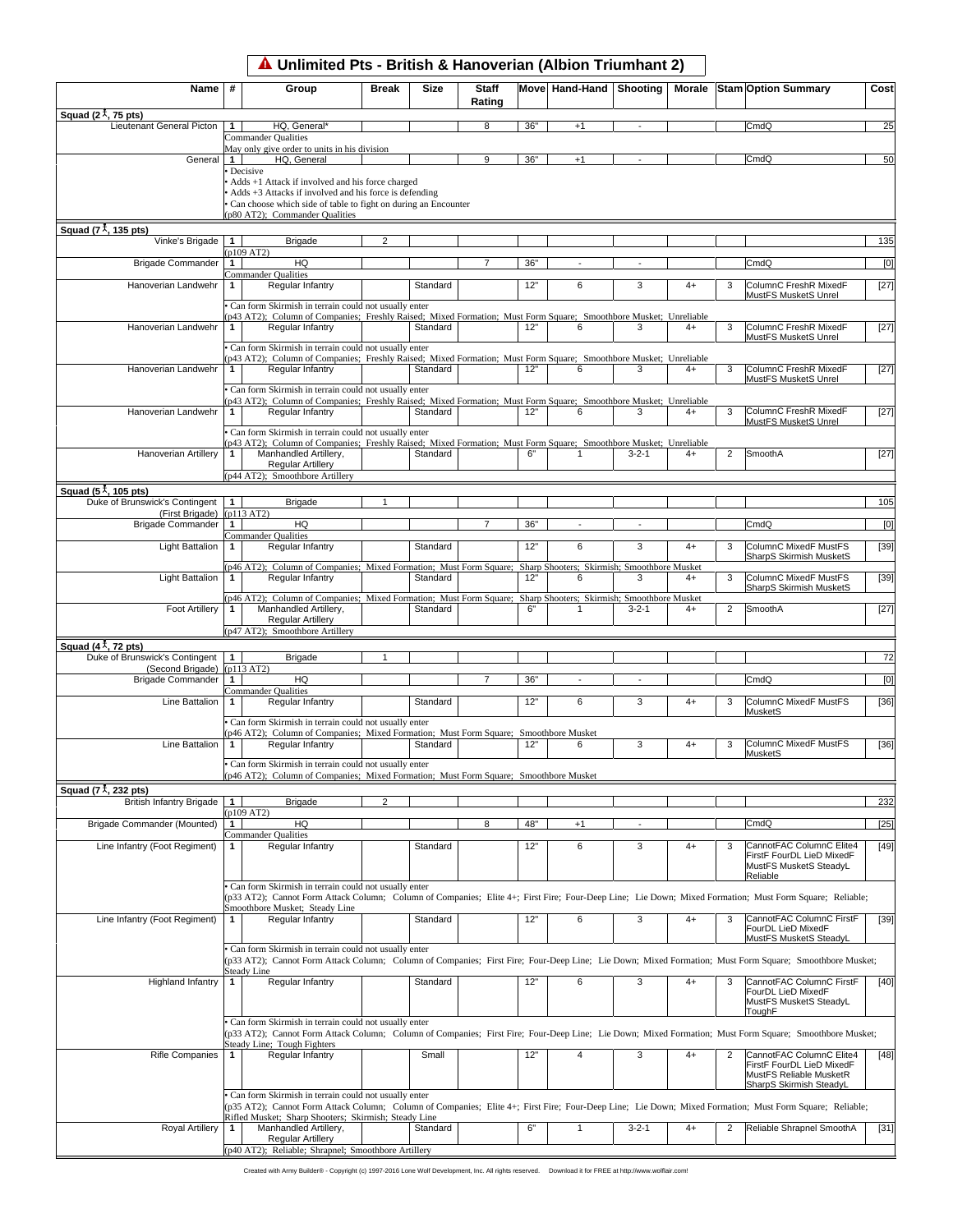|                                                                           |                | A Unlimited Pts - British & Hanoverian (Albion Triumhant 2)                                                                                                                              |                |             |                        |     |                         |             |      |                |                                                                                                                                                         |        |
|---------------------------------------------------------------------------|----------------|------------------------------------------------------------------------------------------------------------------------------------------------------------------------------------------|----------------|-------------|------------------------|-----|-------------------------|-------------|------|----------------|---------------------------------------------------------------------------------------------------------------------------------------------------------|--------|
| Name                                                                      | #              | Group                                                                                                                                                                                    | <b>Break</b>   | <b>Size</b> | <b>Staff</b><br>Rating |     | Move Hand-Hand Shooting |             |      |                | Morale Stam Option Summary                                                                                                                              | Cost   |
| Squad (2 $\lambda$ , 75 pts)<br>Lieutenant General Picton                 | 1              | HQ, General*                                                                                                                                                                             |                |             | 8                      | 36" | $+1$                    |             |      |                | CmdQ                                                                                                                                                    | 25     |
|                                                                           |                | Commander Qualities                                                                                                                                                                      |                |             |                        |     |                         |             |      |                |                                                                                                                                                         |        |
| General                                                                   | $\mathbf{1}$   | May only give order to units in his division<br>HQ, General                                                                                                                              |                |             | 9                      | 36" | $+1$                    |             |      |                | CmdQ                                                                                                                                                    | 50     |
|                                                                           |                | Decisive<br>Adds +1 Attack if involved and his force charged<br>Adds +3 Attacks if involved and his force is defending<br>Can choose which side of table to fight on during an Encounter |                |             |                        |     |                         |             |      |                |                                                                                                                                                         |        |
| Squad ( $7\frac{1}{4}$ , 135 pts)                                         |                | (p80 AT2); Commander Qualities                                                                                                                                                           |                |             |                        |     |                         |             |      |                |                                                                                                                                                         |        |
| Vinke's Brigade                                                           | $\mathbf{1}$   | <b>Brigade</b>                                                                                                                                                                           | $\mathcal{P}$  |             |                        |     |                         |             |      |                |                                                                                                                                                         | 135    |
| <b>Brigade Commander</b>                                                  | 1 <sup>1</sup> | (p109 AT2)<br>HQ                                                                                                                                                                         |                |             | $\overline{7}$         | 36" |                         |             |      |                | CmdQ                                                                                                                                                    | [0]    |
|                                                                           |                | Commander Qualities                                                                                                                                                                      |                |             |                        |     |                         |             |      |                |                                                                                                                                                         |        |
| Hanoverian Landwehr                                                       |                | Regular Infantry                                                                                                                                                                         |                | Standard    |                        | 12" | 6                       | 3           | $4+$ | 3              | ColumnC FreshR MixedF<br>MustFS MusketS Unrel                                                                                                           | [27]   |
|                                                                           |                | Can form Skirmish in terrain could not usually enter                                                                                                                                     |                |             |                        |     |                         |             |      |                |                                                                                                                                                         |        |
| Hanoverian Landwehr                                                       | 1              | (p43 AT2); Column of Companies; Freshly Raised; Mixed Formation; Must Form Square; Smoothbore Musket; Unreliable<br>Regular Infantry                                                     |                | Standard    |                        | 12" | 6                       | 3           | $4+$ | 3              | ColumnC FreshR MixedF                                                                                                                                   | $[27]$ |
|                                                                           |                | Can form Skirmish in terrain could not usually enter                                                                                                                                     |                |             |                        |     |                         |             |      |                | MustFS MusketS Unrel                                                                                                                                    |        |
|                                                                           |                | (p43 AT2); Column of Companies; Freshly Raised; Mixed Formation; Must Form Square; Smoothbore Musket; Unreliable                                                                         |                |             |                        |     |                         |             |      |                |                                                                                                                                                         |        |
| Hanoverian Landwehr                                                       | 1              | Regular Infantry                                                                                                                                                                         |                | Standard    |                        | 12" | 6                       | 3           | $4+$ | 3              | ColumnC FreshR MixedF<br>MustFS MusketS Unrel                                                                                                           | $[27]$ |
|                                                                           |                | Can form Skirmish in terrain could not usually enter                                                                                                                                     |                |             |                        |     |                         |             |      |                |                                                                                                                                                         |        |
| Hanoverian Landwehr                                                       | 1              | (p43 AT2); Column of Companies; Freshly Raised; Mixed Formation; Must Form Square; Smoothbore Musket; Unreliable<br>Regular Infantry                                                     |                | Standard    |                        | 12" | 6                       | 3           | 4+   | 3              | ColumnC FreshR MixedF                                                                                                                                   | $[27]$ |
|                                                                           |                |                                                                                                                                                                                          |                |             |                        |     |                         |             |      |                | MustFS MusketS Unrel                                                                                                                                    |        |
|                                                                           |                | Can form Skirmish in terrain could not usually enter<br>(p43 AT2); Column of Companies; Freshly Raised; Mixed Formation; Must Form Square; Smoothbore Musket; Unreliable                 |                |             |                        |     |                         |             |      |                |                                                                                                                                                         |        |
| <b>Hanoverian Artillerv</b>                                               | 1              | Manhandled Artillery,                                                                                                                                                                    |                | Standard    |                        | 6"  | $\mathbf{1}$            | $3 - 2 - 1$ | 4+   | 2              | SmoothA                                                                                                                                                 | $[27]$ |
|                                                                           |                | Regular Artillery<br>(p44 AT2); Smoothbore Artillery                                                                                                                                     |                |             |                        |     |                         |             |      |                |                                                                                                                                                         |        |
| Squad (5 $\frac{1}{4}$ , 105 pts)                                         |                |                                                                                                                                                                                          |                |             |                        |     |                         |             |      |                |                                                                                                                                                         |        |
| Duke of Brunswick's Contingent                                            | $\mathbf{1}$   | <b>Brigade</b>                                                                                                                                                                           |                |             |                        |     |                         |             |      |                |                                                                                                                                                         | 105    |
| (First Brigade)<br><b>Brigade Commander</b>                               | 1              | (p113 AT2)<br>HQ                                                                                                                                                                         |                |             | $\overline{7}$         | 36" | $\sim$                  |             |      |                | CmdQ                                                                                                                                                    | [0]    |
|                                                                           |                | Commander Qualities                                                                                                                                                                      |                |             |                        |     |                         |             |      |                |                                                                                                                                                         |        |
| Light Battalion                                                           | 1              | Regular Infantry                                                                                                                                                                         |                | Standard    |                        | 12" | 6                       | 3           | $4+$ | 3              | ColumnC MixedF MustFS<br><b>SharpS Skirmish MusketS</b>                                                                                                 | $[39]$ |
| Light Battalion                                                           | $\mathbf{1}$   | (p46 AT2); Column of Companies; Mixed Formation; Must Form Square; Sharp Shooters; Skirmish; Smoothbore Musket<br>Regular Infantry                                                       |                | Standard    |                        | 12" | 6                       | 3           | $4+$ | 3              | ColumnC MixedF MustFS                                                                                                                                   | $[39]$ |
|                                                                           |                |                                                                                                                                                                                          |                |             |                        |     |                         |             |      |                | <b>SharpS Skirmish MusketS</b>                                                                                                                          |        |
| <b>Foot Artillery</b>                                                     | 1              | (p46 AT2); Column of Companies; Mixed Formation; Must Form Square; Sharp Shooters; Skirmish; Smoothbore Musket<br>Manhandled Artillery,                                                  |                | Standard    |                        | 6"  | $\mathbf{1}$            | $3 - 2 - 1$ | 4+   | $\overline{2}$ | SmoothA                                                                                                                                                 | $[27]$ |
|                                                                           |                | Regular Artillery                                                                                                                                                                        |                |             |                        |     |                         |             |      |                |                                                                                                                                                         |        |
|                                                                           |                | (p47 AT2); Smoothbore Artillery                                                                                                                                                          |                |             |                        |     |                         |             |      |                |                                                                                                                                                         |        |
| Squad $(4\overline{4}, 72 \text{ pts})$<br>Duke of Brunswick's Contingent | $\mathbf{1}$   | <b>Brigade</b>                                                                                                                                                                           |                |             |                        |     |                         |             |      |                |                                                                                                                                                         | 72     |
| (Second Brigade)                                                          |                | (p113 AT2)                                                                                                                                                                               |                |             |                        |     |                         |             |      |                |                                                                                                                                                         |        |
| <b>Brigade Commander</b>                                                  | $\mathbf 1$    | HQ<br><b>Commander Qualities</b>                                                                                                                                                         |                |             |                        | 36" |                         |             |      |                | CmdQ                                                                                                                                                    | [0]    |
| Line Battalion                                                            | 1              | Regular Infantry                                                                                                                                                                         |                | Standard    |                        | 12" | 6                       | 3           | $4+$ | 3              | ColumnC MixedF MustFS                                                                                                                                   | $[36]$ |
|                                                                           |                | Can form Skirmish in terrain could not usually enter                                                                                                                                     |                |             |                        |     |                         |             |      |                | MusketS                                                                                                                                                 |        |
|                                                                           |                | (p46 AT2); Column of Companies; Mixed Formation; Must Form Square; Smoothbore Musket                                                                                                     |                |             |                        |     |                         |             |      |                |                                                                                                                                                         |        |
| Line Battalion                                                            | $\mathbf{1}$   | Regular Infantry                                                                                                                                                                         |                | Standard    |                        | 12" | 6                       | 3           | $4+$ | 3              | ColumnC MixedF MustFS<br><u> MusketS</u>                                                                                                                | [36]   |
|                                                                           |                | Can form Skirmish in terrain could not usually enter                                                                                                                                     |                |             |                        |     |                         |             |      |                |                                                                                                                                                         |        |
| Squad $(7\overline{1}, 232 \text{ pts})$                                  |                | (p46 AT2); Column of Companies; Mixed Formation; Must Form Square; Smoothbore Musket                                                                                                     |                |             |                        |     |                         |             |      |                |                                                                                                                                                         |        |
| <b>British Infantry Brigade</b>                                           | $\mathbf{1}$   | <b>Brigade</b>                                                                                                                                                                           | $\overline{2}$ |             |                        |     |                         |             |      |                |                                                                                                                                                         | 232    |
| Brigade Commander (Mounted)                                               |                | (p109 AT2)<br>HQ                                                                                                                                                                         |                |             | 8                      | 48" | $+1$                    |             |      |                | CmdQ                                                                                                                                                    |        |
|                                                                           | 1              | Commander Qualities                                                                                                                                                                      |                |             |                        |     |                         |             |      |                |                                                                                                                                                         | $[25]$ |
| Line Infantry (Foot Regiment)                                             | 1              | Regular Infantry                                                                                                                                                                         |                | Standard    |                        | 12" | 6                       | 3           | $4+$ | 3              | CannotFAC ColumnC Elite4<br>FirstF FourDL LieD MixedF<br>MustFS MusketS SteadyL<br>Reliable                                                             | $[49]$ |
|                                                                           |                | Can form Skirmish in terrain could not usually enter                                                                                                                                     |                |             |                        |     |                         |             |      |                | (p33 AT2); Cannot Form Attack Column; Column of Companies; Elite 4+; First Fire; Four-Deep Line; Lie Down; Mixed Formation; Must Form Square; Reliable; |        |
|                                                                           |                | Smoothbore Musket; Steady Line                                                                                                                                                           |                |             |                        |     |                         |             |      |                |                                                                                                                                                         |        |
| Line Infantry (Foot Regiment)                                             | 1              | Regular Infantry                                                                                                                                                                         |                | Standard    |                        | 12" | 6                       | 3           | $4+$ | 3              | CannotFAC ColumnC FirstF<br>FourDL LieD MixedF                                                                                                          | [39]   |
|                                                                           |                |                                                                                                                                                                                          |                |             |                        |     |                         |             |      |                | <b>MustFS MusketS Steadyl</b>                                                                                                                           |        |
|                                                                           |                | Can form Skirmish in terrain could not usually enter                                                                                                                                     |                |             |                        |     |                         |             |      |                | (p33 AT2); Cannot Form Attack Column; Column of Companies; First Fire; Four-Deep Line; Lie Down; Mixed Formation; Must Form Square; Smoothbore Musket;  |        |
|                                                                           |                | Steady Line                                                                                                                                                                              |                |             |                        |     |                         |             |      |                |                                                                                                                                                         |        |
| <b>Highland Infantry</b>                                                  | 1              | Regular Infantry                                                                                                                                                                         |                | Standard    |                        | 12" | 6                       | 3           | $4+$ | 3              | CannotFAC ColumnC FirstF<br>FourDL LieD MixedF<br>MustFS MusketS SteadyL<br>ToughF                                                                      | $[40]$ |
|                                                                           |                | Can form Skirmish in terrain could not usually enter                                                                                                                                     |                |             |                        |     |                         |             |      |                | (p33 AT2); Cannot Form Attack Column; Column of Companies; First Fire; Four-Deep Line; Lie Down; Mixed Formation; Must Form Square; Smoothbore Musket;  |        |
|                                                                           |                | Steady Line; Tough Fighters                                                                                                                                                              |                |             |                        |     |                         |             |      |                |                                                                                                                                                         |        |
| Rifle Companies                                                           | 1              | Regular Infantry                                                                                                                                                                         |                | Small       |                        | 12" | 4                       | 3           | $4+$ | 2              | CannotFAC ColumnC Elite4<br>FirstF FourDL LieD MixedF                                                                                                   | $[48]$ |
|                                                                           |                |                                                                                                                                                                                          |                |             |                        |     |                         |             |      |                | MustFS Reliable MusketR<br>SharpS Skirmish SteadyL                                                                                                      |        |
|                                                                           |                | Can form Skirmish in terrain could not usually enter                                                                                                                                     |                |             |                        |     |                         |             |      |                |                                                                                                                                                         |        |
|                                                                           |                | Rifled Musket; Sharp Shooters; Skirmish; Steady Line                                                                                                                                     |                |             |                        |     |                         |             |      |                | (p35 AT2); Cannot Form Attack Column; Column of Companies; Elite 4+; First Fire; Four-Deep Line; Lie Down; Mixed Formation; Must Form Square; Reliable; |        |
| Royal Artillery                                                           | 1              | Manhandled Artillery,                                                                                                                                                                    |                | Standard    |                        | 6"  | $\mathbf{1}$            | $3 - 2 - 1$ | $4+$ | $\overline{c}$ | Reliable Shrapnel SmoothA                                                                                                                               | $[31]$ |
|                                                                           |                | Regular Artillery<br>(p40 AT2); Reliable; Shrapnel; Smoothbore Artillery                                                                                                                 |                |             |                        |     |                         |             |      |                |                                                                                                                                                         |        |
|                                                                           |                |                                                                                                                                                                                          |                |             |                        |     |                         |             |      |                |                                                                                                                                                         |        |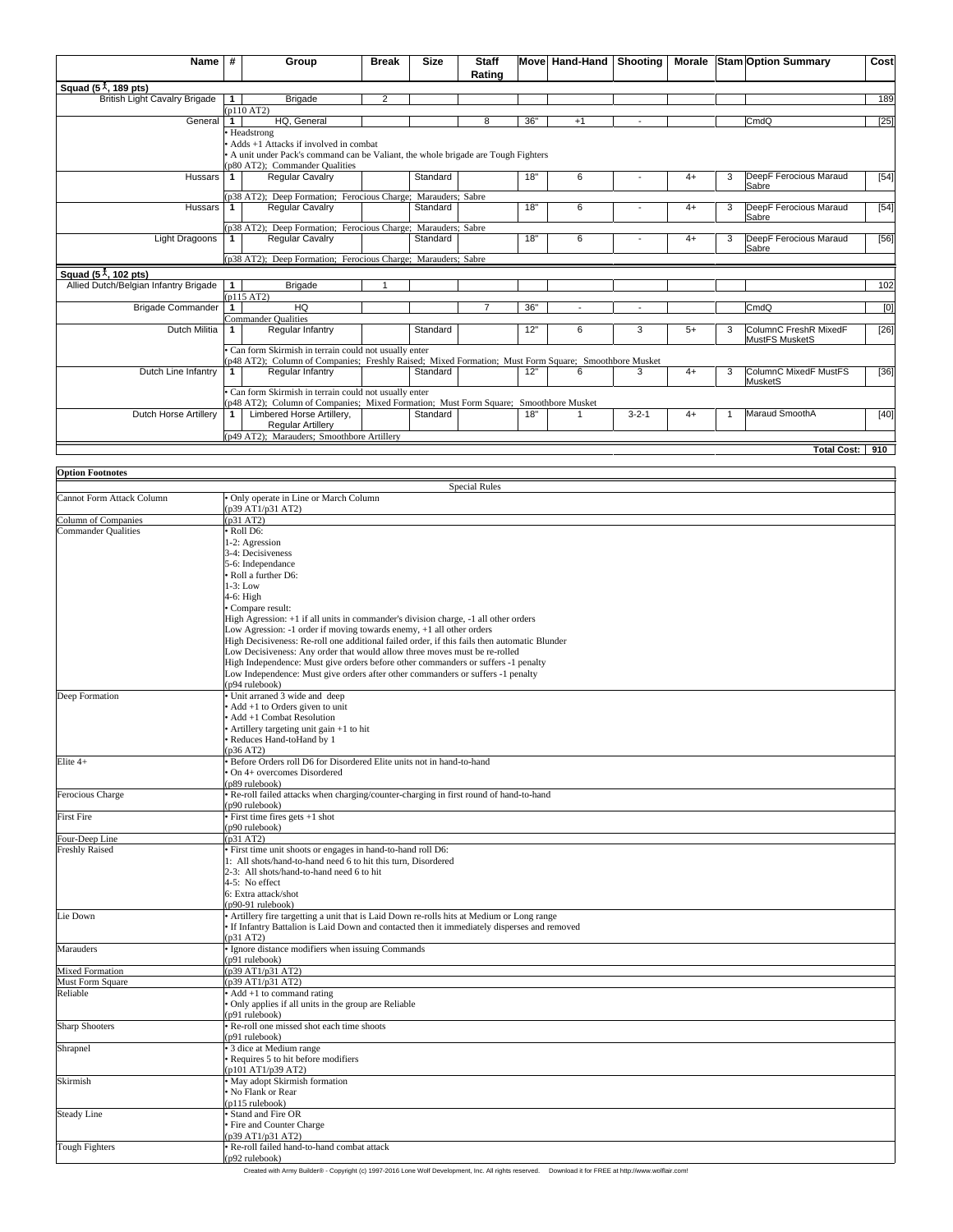| Name                                    | #            | Group                                                                                                | <b>Break</b>   | <b>Size</b> | <b>Staff</b><br>Rating |     | Move Hand-Hand Shooting |             |      |   | Morale Stam Option Summary | Cost   |
|-----------------------------------------|--------------|------------------------------------------------------------------------------------------------------|----------------|-------------|------------------------|-----|-------------------------|-------------|------|---|----------------------------|--------|
| Squad $(51, 189$ pts)                   |              |                                                                                                      |                |             |                        |     |                         |             |      |   |                            |        |
| <b>British Light Cavalry Brigade</b>    |              | <b>Brigade</b>                                                                                       | $\overline{2}$ |             |                        |     |                         |             |      |   |                            | 189    |
|                                         |              | (p110 AT2)                                                                                           |                |             |                        |     |                         |             |      |   |                            |        |
| General                                 | $\mathbf{1}$ | HQ, General                                                                                          |                |             | 8                      | 36" | $+1$                    |             |      |   | CmdO                       | [25]   |
|                                         |              | • Headstrong                                                                                         |                |             |                        |     |                         |             |      |   |                            |        |
|                                         |              | • Adds $+1$ Attacks if involved in combat                                                            |                |             |                        |     |                         |             |      |   |                            |        |
|                                         |              | • A unit under Pack's command can be Valiant, the whole brigade are Tough Fighters                   |                |             |                        |     |                         |             |      |   |                            |        |
|                                         |              | (p80 AT2); Commander Qualities                                                                       |                |             |                        |     |                         |             |      |   |                            |        |
| Hussars                                 |              | <b>Regular Cavalry</b>                                                                               |                | Standard    |                        | 18" | 6                       |             | $4+$ | 3 | DeepF Ferocious Maraud     | [54]   |
|                                         |              |                                                                                                      |                |             |                        |     |                         |             |      |   | Sabre                      |        |
|                                         |              | (p38 AT2); Deep Formation; Ferocious Charge; Marauders; Sabre                                        |                |             |                        |     |                         |             |      |   |                            |        |
| Hussars                                 | $\mathbf{1}$ | <b>Regular Cavalry</b>                                                                               |                | Standard    |                        | 18" | 6                       |             | $4+$ | 3 | DeepF Ferocious Maraud     | [54]   |
|                                         |              |                                                                                                      |                |             |                        |     |                         |             |      |   | Sabre                      |        |
|                                         |              | (p38 AT2); Deep Formation; Ferocious Charge; Marauders; Sabre                                        |                |             |                        |     |                         |             |      |   |                            |        |
| Light Dragoons                          |              | Regular Cavalry                                                                                      |                | Standard    |                        | 18" | 6                       |             | $4+$ | 3 | DeepF Ferocious Maraud     | [56]   |
|                                         |              |                                                                                                      |                |             |                        |     |                         |             |      |   | Sabre                      |        |
|                                         |              | (p38 AT2); Deep Formation; Ferocious Charge; Marauders; Sabre                                        |                |             |                        |     |                         |             |      |   |                            |        |
| Squad $(5\frac{1}{2}, 102 \text{ pts})$ |              |                                                                                                      |                |             |                        |     |                         |             |      |   |                            |        |
| Allied Dutch/Belgian Infantry Brigade   | $\mathbf{1}$ | <b>Brigade</b>                                                                                       |                |             |                        |     |                         |             |      |   |                            | 102    |
|                                         |              | (p115 AT2)                                                                                           |                |             |                        |     |                         |             |      |   |                            |        |
| <b>Brigade Commander</b>                | $\mathbf{1}$ | HO                                                                                                   |                |             |                        | 36" |                         |             |      |   | CmdQ                       | [0]    |
|                                         |              | Commander Qualities                                                                                  |                |             |                        |     |                         |             |      |   |                            |        |
| Dutch Militia                           |              | Regular Infantry                                                                                     |                | Standard    |                        | 12" | 6                       | 3           | $5+$ | 3 | ColumnC FreshR MixedF      | [26]   |
|                                         |              |                                                                                                      |                |             |                        |     |                         |             |      |   | MustFS MusketS             |        |
|                                         |              | Can form Skirmish in terrain could not usually enter                                                 |                |             |                        |     |                         |             |      |   |                            |        |
|                                         |              | (p48 AT2); Column of Companies; Freshly Raised; Mixed Formation; Must Form Square; Smoothbore Musket |                |             |                        |     |                         |             |      |   |                            |        |
| Dutch Line Infantry                     |              | Regular Infantry                                                                                     |                | Standard    |                        | 12" | 6                       | з           | $4+$ | 3 | ColumnC MixedF MustFS      | [36]   |
|                                         |              |                                                                                                      |                |             |                        |     |                         |             |      |   | MusketS                    |        |
|                                         |              | · Can form Skirmish in terrain could not usually enter                                               |                |             |                        |     |                         |             |      |   |                            |        |
|                                         |              | (p48 AT2); Column of Companies; Mixed Formation; Must Form Square; Smoothbore Musket                 |                |             |                        |     |                         |             |      |   |                            |        |
| Dutch Horse Artillery                   |              | Limbered Horse Artillery,                                                                            |                | Standard    |                        | 18" |                         | $3 - 2 - 1$ | $4+$ |   | Maraud SmoothA             | $[40]$ |
|                                         |              | <b>Reqular Artillery</b>                                                                             |                |             |                        |     |                         |             |      |   |                            |        |
|                                         |              | (p49 AT2); Marauders; Smoothbore Artillery                                                           |                |             |                        |     |                         |             |      |   |                            |        |
|                                         |              |                                                                                                      |                |             |                        |     |                         |             |      |   | Total Cost: 910            |        |

| <b>Option Footnotes</b>    |                                                                                                                                                           |
|----------------------------|-----------------------------------------------------------------------------------------------------------------------------------------------------------|
|                            | <b>Special Rules</b>                                                                                                                                      |
| Cannot Form Attack Column  | Only operate in Line or March Column                                                                                                                      |
|                            | p39 AT1/p31 AT2)                                                                                                                                          |
| Column of Companies        | (p31 AT2)                                                                                                                                                 |
| <b>Commander Qualities</b> | · Roll D6:                                                                                                                                                |
|                            | 1-2: Agression                                                                                                                                            |
|                            | 3-4: Decisiveness<br>5-6: Independance                                                                                                                    |
|                            | • Roll a further D6:                                                                                                                                      |
|                            | $1-3$ : Low                                                                                                                                               |
|                            | 4-6: High                                                                                                                                                 |
|                            | Compare result:                                                                                                                                           |
|                            | High Agression: +1 if all units in commander's division charge, -1 all other orders                                                                       |
|                            | Low Agression: -1 order if moving towards enemy, +1 all other orders                                                                                      |
|                            | High Decisiveness: Re-roll one additional failed order, if this fails then automatic Blunder                                                              |
|                            | Low Decisiveness: Any order that would allow three moves must be re-rolled                                                                                |
|                            | High Independence: Must give orders before other commanders or suffers -1 penalty                                                                         |
|                            | Low Independence: Must give orders after other commanders or suffers -1 penalty                                                                           |
| Deep Formation             | p94 rulebook)<br>· Unit arraned 3 wide and deep                                                                                                           |
|                            | Add +1 to Orders given to unit                                                                                                                            |
|                            | Add +1 Combat Resolution                                                                                                                                  |
|                            | Artillery targeting unit gain +1 to hit                                                                                                                   |
|                            | Reduces Hand-toHand by 1                                                                                                                                  |
|                            | p36 AT2)                                                                                                                                                  |
| Elite 4+                   | Before Orders roll D6 for Disordered Elite units not in hand-to-hand                                                                                      |
|                            | On 4+ overcomes Disordered                                                                                                                                |
|                            | p89 rulebook)                                                                                                                                             |
| Ferocious Charge           | Re-roll failed attacks when charging/counter-charging in first round of hand-to-hand                                                                      |
|                            | p90 rulebook)                                                                                                                                             |
| <b>First Fire</b>          | First time fires gets +1 shot                                                                                                                             |
| Four-Deep Line             | p90 rulebook)<br>p31 AT2)                                                                                                                                 |
| <b>Freshly Raised</b>      | First time unit shoots or engages in hand-to-hand roll D6:                                                                                                |
|                            | 1: All shots/hand-to-hand need 6 to hit this turn, Disordered                                                                                             |
|                            | 2-3: All shots/hand-to-hand need 6 to hit                                                                                                                 |
|                            | 4-5: No effect                                                                                                                                            |
|                            | 6: Extra attack/shot                                                                                                                                      |
|                            | p90-91 rulebook)                                                                                                                                          |
| Lie Down                   | • Artillery fire targetting a unit that is Laid Down re-rolls hits at Medium or Long range                                                                |
|                            | If Infantry Battalion is Laid Down and contacted then it immediately disperses and removed                                                                |
|                            | p31 AT2)                                                                                                                                                  |
| Marauders                  | Ignore distance modifiers when issuing Commands<br>p91 rulebook)                                                                                          |
| <b>Mixed Formation</b>     | p39 AT1/p31 AT2)                                                                                                                                          |
| Must Form Square           | p39 AT1/p31 AT2)                                                                                                                                          |
| Reliable                   | • Add +1 to command rating                                                                                                                                |
|                            | Only applies if all units in the group are Reliable                                                                                                       |
|                            | p91 rulebook)                                                                                                                                             |
| <b>Sharp Shooters</b>      | Re-roll one missed shot each time shoots                                                                                                                  |
|                            | p91 rulebook)                                                                                                                                             |
| Shrapnel                   | • 3 dice at Medium range                                                                                                                                  |
|                            | Requires 5 to hit before modifiers                                                                                                                        |
|                            | p101 AT1/p39 AT2)                                                                                                                                         |
| Skirmish                   | May adopt Skirmish formation                                                                                                                              |
|                            | No Flank or Rear                                                                                                                                          |
| <b>Steady Line</b>         | p115 rulebook)<br>Stand and Fire OR                                                                                                                       |
|                            | Fire and Counter Charge                                                                                                                                   |
|                            | p39 AT1/p31 AT2)                                                                                                                                          |
| Tough Fighters             | Re-roll failed hand-to-hand combat attack                                                                                                                 |
|                            | p92 rulebook)                                                                                                                                             |
|                            | Created with Army Builder® - Copyright (c) 1997-2016 Lone Wolf Development, Inc. All rights reserved.<br>Download it for FREE at http://www.wolflair.com! |